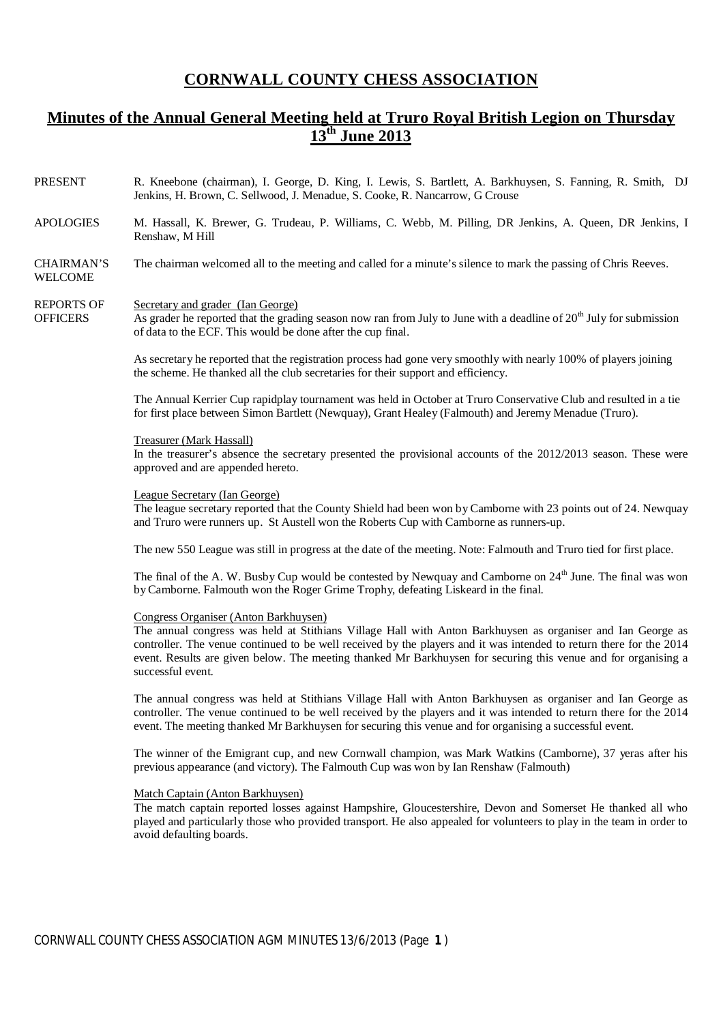# **CORNWALL COUNTY CHESS ASSOCIATION**

# **Minutes of the Annual General Meeting held at Truro Royal British Legion on Thursday 13th June 2013**

- PRESENT R. Kneebone (chairman), I. George, D. King, I. Lewis, S. Bartlett, A. Barkhuysen, S. Fanning, R. Smith, DJ Jenkins, H. Brown, C. Sellwood, J. Menadue, S. Cooke, R. Nancarrow, G Crouse
- APOLOGIES M. Hassall, K. Brewer, G. Trudeau, P. Williams, C. Webb, M. Pilling, DR Jenkins, A. Queen, DR Jenkins, I Renshaw, M Hill
- CHAIRMAN'S WELCOME The chairman welcomed all to the meeting and called for a minute's silence to mark the passing of Chris Reeves.

#### REPORTS OF Secretary and grader (Ian George)

**OFFICERS** As grader he reported that the grading season now ran from July to June with a deadline of  $20<sup>th</sup>$  July for submission of data to the ECF. This would be done after the cup final.

> As secretary he reported that the registration process had gone very smoothly with nearly 100% of players joining the scheme. He thanked all the club secretaries for their support and efficiency.

The Annual Kerrier Cup rapidplay tournament was held in October at Truro Conservative Club and resulted in a tie for first place between Simon Bartlett (Newquay), Grant Healey (Falmouth) and Jeremy Menadue (Truro).

#### Treasurer (Mark Hassall)

In the treasurer's absence the secretary presented the provisional accounts of the 2012/2013 season. These were approved and are appended hereto.

### League Secretary (Ian George)

The league secretary reported that the County Shield had been won by Camborne with 23 points out of 24. Newquay and Truro were runners up. St Austell won the Roberts Cup with Camborne as runners-up.

The new 550 League was still in progress at the date of the meeting. Note: Falmouth and Truro tied for first place.

The final of the A. W. Busby Cup would be contested by Newquay and Camborne on 24<sup>th</sup> June. The final was won byCamborne. Falmouth won the Roger Grime Trophy, defeating Liskeard in the final.

## Congress Organiser (Anton Barkhuysen)

The annual congress was held at Stithians Village Hall with Anton Barkhuysen as organiser and Ian George as controller. The venue continued to be well received by the players and it was intended to return there for the 2014 event. Results are given below. The meeting thanked Mr Barkhuysen for securing this venue and for organising a successful event.

The annual congress was held at Stithians Village Hall with Anton Barkhuysen as organiser and Ian George as controller. The venue continued to be well received by the players and it was intended to return there for the 2014 event. The meeting thanked Mr Barkhuysen for securing this venue and for organising a successful event.

The winner of the Emigrant cup, and new Cornwall champion, was Mark Watkins (Camborne), 37 yeras after his previous appearance (and victory). The Falmouth Cup was won by Ian Renshaw (Falmouth)

### Match Captain (Anton Barkhuysen)

The match captain reported losses against Hampshire, Gloucestershire, Devon and Somerset He thanked all who played and particularly those who provided transport. He also appealed for volunteers to play in the team in order to avoid defaulting boards.